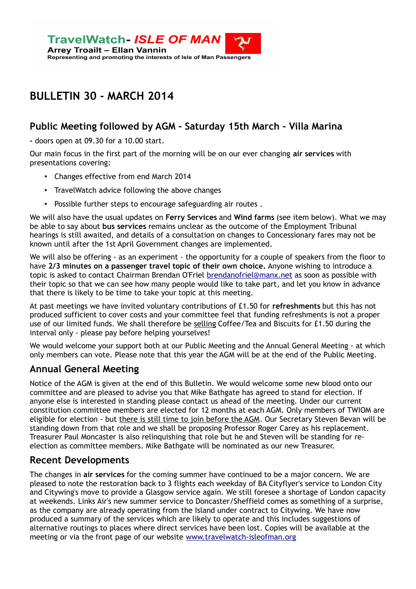

# **BULLETIN 30 - MARCH 2014**

### **Public Meeting followed by AGM - Saturday 15th March - Villa Marina**

**-** doors open at 09.30 for a 10.00 start.

Our main focus in the first part of the morning will be on our ever changing **air services** with presentations covering:

- Changes effective from end March 2014
- TravelWatch advice following the above changes
- Possible further steps to encourage safeguarding air routes .

We will also have the usual updates on **Ferry Services** and **Wind farms** (see item below). What we may be able to say about **bus services** remains unclear as the outcome of the Employment Tribunal hearings is still awaited, and details of a consultation on changes to Concessionary fares may not be known until after the 1st April Government changes are implemented.

We will also be offering - as an experiment - the opportunity for a couple of speakers from the floor to have **2/3 minutes on a passenger travel topic of their own choice.** Anyone wishing to introduce a topic is asked to contact Chairman Brendan O'Friel [brendanofriel@manx.net](mailto:brendanofriel@manx.net%3E) as soon as possible with their topic so that we can see how many people would like to take part, and let you know in advance that there is likely to be time to take your topic at this meeting.

At past meetings we have invited voluntary contributions of £1.50 for **refreshments** but this has not produced sufficient to cover costs and your committee feel that funding refreshments is not a proper use of our limited funds. We shall therefore be selling Coffee/Tea and Biscuits for £1.50 during the interval only - please pay before helping yourselves!

We would welcome your support both at our Public Meeting and the Annual General Meeting - at which only members can vote. Please note that this year the AGM will be at the end of the Public Meeting.

#### **Annual General Meeting**

Notice of the AGM is given at the end of this Bulletin. We would welcome some new blood onto our committee and are pleased to advise you that Mike Bathgate has agreed to stand for election. If anyone else is interested in standing please contact us ahead of the meeting. Under our current constitution committee members are elected for 12 months at each AGM. Only members of TWIOM are eligible for election - but there is still time to join before the AGM. Our Secretary Steven Bevan will be standing down from that role and we shall be proposing Professor Roger Carey as his replacement. Treasurer Paul Moncaster is also relinquishing that role but he and Steven will be standing for reelection as committee members. Mike Bathgate will be nominated as our new Treasurer.

#### **Recent Developments**

The changes in **air services** for the coming summer have continued to be a major concern. We are pleased to note the restoration back to 3 flights each weekday of BA Cityflyer's service to London City and Citywing's move to provide a Glasgow service again. We still foresee a shortage of London capacity at weekends. Links Air's new summer service to Doncaster/Sheffield comes as something of a surprise, as the company are already operating from the Island under contract to Citywing. We have now produced a summary of the services which are likely to operate and this includes suggestions of alternative routings to places where direct services have been lost. Copies will be available at the meeting or via the front page of our website www.travelwatch-isleofman.org